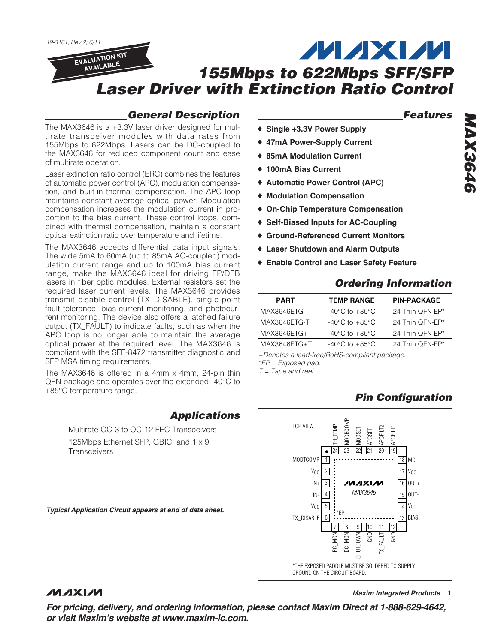## **General Description**

The MAX3646 is a +3.3V laser driver designed for multirate transceiver modules with data rates from 155Mbps to 622Mbps. Lasers can be DC-coupled to the MAX3646 for reduced component count and ease of multirate operation.

Laser extinction ratio control (ERC) combines the features of automatic power control (APC), modulation compensation, and built-in thermal compensation. The APC loop maintains constant average optical power. Modulation compensation increases the modulation current in proportion to the bias current. These control loops, combined with thermal compensation, maintain a constant optical extinction ratio over temperature and lifetime.

The MAX3646 accepts differential data input signals. The wide 5mA to 60mA (up to 85mA AC-coupled) modulation current range and up to 100mA bias current range, make the MAX3646 ideal for driving FP/DFB lasers in fiber optic modules. External resistors set the required laser current levels. The MAX3646 provides transmit disable control (TX\_DISABLE), single-point fault tolerance, bias-current monitoring, and photocurrent monitoring. The device also offers a latched failure output (TX\_FAULT) to indicate faults, such as when the APC loop is no longer able to maintain the average optical power at the required level. The MAX3646 is compliant with the SFF-8472 transmitter diagnostic and SFP MSA timing requirements.

The MAX3646 is offered in a 4mm x 4mm, 24-pin thin QFN package and operates over the extended -40°C to +85°C temperature range.

**Applications**

Multirate OC-3 to OC-12 FEC Transceivers 125Mbps Ethernet SFP, GBIC, and 1 x 9 **Transceivers** 

**Typical Application Circuit appears at end of data sheet.**

## **Features**

- ♦ **Single +3.3V Power Supply**
- ♦ **47mA Power-Supply Current**
- ♦ **85mA Modulation Current**
- ♦ **100mA Bias Current**
- ♦ **Automatic Power Control (APC)**
- ♦ **Modulation Compensation**
- ♦ **On-Chip Temperature Compensation**
- ♦ **Self-Biased Inputs for AC-Coupling**
- ♦ **Ground-Referenced Current Monitors**
- ♦ **Laser Shutdown and Alarm Outputs**
- ♦ **Enable Control and Laser Safety Feature**

## **Ordering Information**

| <b>PART</b>  | <b>TEMP RANGE</b>                    | <b>PIN-PACKAGE</b> |
|--------------|--------------------------------------|--------------------|
| MAX3646ETG   | -40 $^{\circ}$ C to +85 $^{\circ}$ C | 24 Thin QFN-EP*    |
| MAX3646ETG-T | -40 $^{\circ}$ C to +85 $^{\circ}$ C | 24 Thin QFN-EP*    |
| MAX3646ETG+  | -40 $^{\circ}$ C to +85 $^{\circ}$ C | 24 Thin QFN-EP*    |
| MAX3646ETG+T | $-40^{\circ}$ C to $+85^{\circ}$ C   | 24 Thin OFN-EP*    |

+Denotes a lead-free/RoHS-compliant package.

\*EP = Exposed pad.

 $T = \text{Tape}$  and reel.

## **Pin Configuration**



## **MAXIM**

**\_\_\_\_\_\_\_\_\_\_\_\_\_\_\_\_\_\_\_\_\_\_\_\_\_\_\_\_\_\_\_\_\_\_\_\_\_\_\_\_\_\_\_\_\_\_\_\_\_\_\_\_\_\_\_\_\_\_\_\_\_\_\_\_ Maxim Integrated Products 1**

**For pricing, delivery, and ordering information, please contact Maxim Direct at 1-888-629-4642, or visit Maxim's website at www.maxim-ic.com.**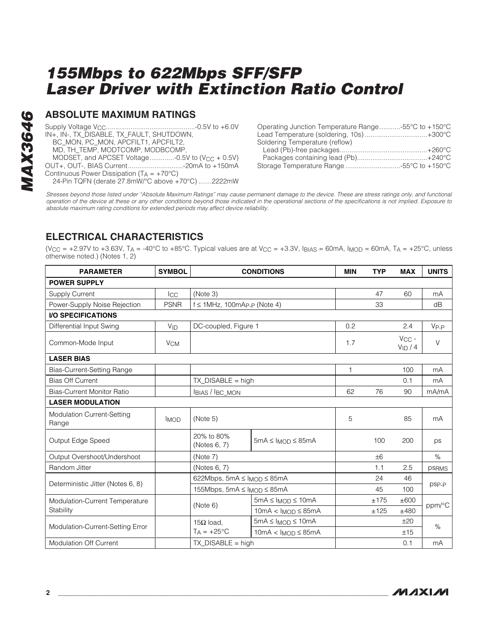#### **ABSOLUTE MAXIMUM RATINGS**

Supply Voltage VCC...............................................-0.5V to +6.0V IN+, IN-, TX\_DISABLE, TX\_FAULT, SHUTDOWN, BC\_MON, PC\_MON, APCFILT1, APCFILT2, MD, TH\_TEMP, MODTCOMP, MODBCOMP, MODSET, and APCSET Voltage.............-0.5V to  $(V_{CC} + 0.5V)$ OUT+, OUT-, BIAS Current.............................-20mA to +150mA Continuous Power Dissipation  $(T_A = +70^{\circ}C)$ 24-Pin TQFN (derate 27.8mW/°C above +70°C) .......2222mW

| Operating Junction Temperature Range55°C to +150°C |  |
|----------------------------------------------------|--|
| Lead Temperature (soldering, 10s)+300°C            |  |
| Soldering Temperature (reflow)                     |  |
|                                                    |  |
|                                                    |  |
|                                                    |  |

Stresses beyond those listed under "Absolute Maximum Ratings" may cause permanent damage to the device. These are stress ratings only, and functional operation of the device at these or any other conditions beyond those indicated in the operational sections of the specifications is not implied. Exposure to absolute maximum rating conditions for extended periods may affect device reliability.

## **ELECTRICAL CHARACTERISTICS**

(V<sub>CC</sub> = +2.97V to +3.63V, T<sub>A</sub> = -40°C to +85°C. Typical values are at V<sub>CC</sub> = +3.3V, I<sub>BIAS</sub> = 60mA, I<sub>MOD</sub> = 60mA, T<sub>A</sub> = +25°C, unless otherwise noted.) (Notes 1, 2)

| <b>PARAMETER</b>                    | <b>SYMBOL</b>         | <b>CONDITIONS</b>                                          |                              | <b>MIN</b>   | <b>TYP</b> | <b>MAX</b>                 | <b>UNITS</b> |
|-------------------------------------|-----------------------|------------------------------------------------------------|------------------------------|--------------|------------|----------------------------|--------------|
| <b>POWER SUPPLY</b>                 |                       |                                                            |                              |              |            |                            |              |
| <b>Supply Current</b>               | Icc                   | (Note 3)                                                   |                              |              | 47         | 60                         | mA           |
| Power-Supply Noise Rejection        | <b>PSNR</b>           | $f \le 1$ MHz, 100mA <sub>P-P</sub> (Note 4)               |                              |              | 33         |                            | dB           |
| <b>I/O SPECIFICATIONS</b>           |                       |                                                            |                              |              |            |                            |              |
| Differential Input Swing            | $V_{ID}$              | DC-coupled, Figure 1                                       |                              | 0.2          |            | 2.4                        | $V_{P-P}$    |
| Common-Mode Input                   | <b>V<sub>CM</sub></b> |                                                            |                              | 1.7          |            | $V_{CC}$ -<br>$V_{ID}$ / 4 | $\vee$       |
| <b>LASER BIAS</b>                   |                       |                                                            |                              |              |            |                            |              |
| Bias-Current-Setting Range          |                       |                                                            |                              | $\mathbf{1}$ |            | 100                        | mA           |
| <b>Bias Off Current</b>             |                       | $TX_DISABLE = high$                                        |                              |              |            | 0.1                        | mA           |
| <b>Bias-Current Monitor Ratio</b>   |                       | <b>IBIAS / BC_MON</b>                                      |                              | 62           | 76         | 90                         | mA/mA        |
| <b>LASER MODULATION</b>             |                       |                                                            |                              |              |            |                            |              |
| Modulation Current-Setting<br>Range | <b>IMOD</b>           | (Note 5)                                                   |                              | 5            |            | 85                         | mA           |
| Output Edge Speed                   |                       | 20% to 80%<br>$5mA \leq I_{MOD} \leq 85mA$<br>(Notes 6, 7) |                              |              | 100        | 200                        | ps           |
| Output Overshoot/Undershoot         |                       | (Note 7)                                                   |                              |              | ±6         |                            | $\%$         |
| Random Jitter                       |                       | (Notes 6, 7)                                               |                              |              | 1.1        | 2.5                        | <b>PSRMS</b> |
|                                     |                       | 622Mbps, 5mA ≤ I <sub>MOD</sub> ≤ 85mA                     |                              |              | 24         | 46                         |              |
| Deterministic Jitter (Notes 6, 8)   |                       | 155Mbps, 5mA ≤ I <sub>MOD</sub> ≤ 85mA                     |                              |              | 45         | 100                        | psp-p        |
| Modulation-Current Temperature      |                       |                                                            | $5mA \leq MOD \leq 10mA$     |              | ±175       | ±600                       | ppm/°C       |
| Stability                           |                       | (Note 6)<br>$10mA < I_{MOD} \leq 85mA$                     |                              |              | ±125       | ±480                       |              |
| Modulation-Current-Setting Error    |                       | $15\Omega$ load,                                           | $5mA \leq I_{MOD} \leq 10mA$ |              |            | ±20                        | $\%$         |
|                                     |                       | $T_A = +25$ °C                                             | $10mA < I_{MOD} \leq 85mA$   |              |            | ±15                        |              |
| <b>Modulation Off Current</b>       |                       | $TX$ DISABLE = high                                        |                              |              |            | 0.1                        | mA           |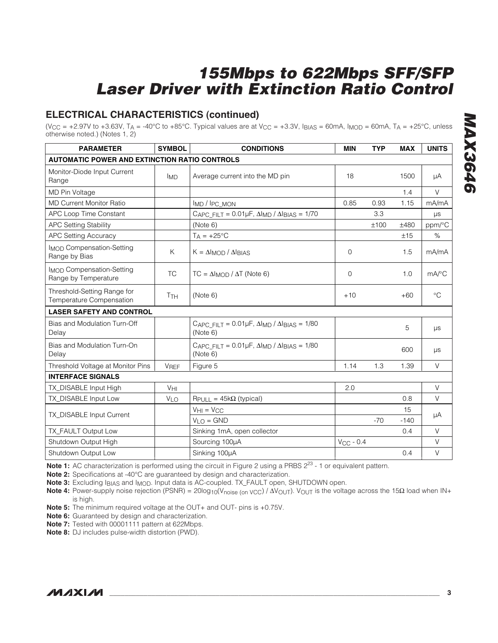## **ELECTRICAL CHARACTERISTICS (continued)**

(V<sub>CC</sub> = +2.97V to +3.63V, T<sub>A</sub> = -40°C to +85°C. Typical values are at V<sub>CC</sub> = +3.3V, I<sub>BIAS</sub> = 60mA, I<sub>MOD</sub> = 60mA, T<sub>A</sub> = +25°C, unless otherwise noted.) (Notes 1, 2)

| <b>PARAMETER</b>                                         | <b>SYMBOL</b>   | <b>CONDITIONS</b>                                                                                           | <b>MIN</b>     | <b>TYP</b> | <b>MAX</b> | <b>UNITS</b>          |
|----------------------------------------------------------|-----------------|-------------------------------------------------------------------------------------------------------------|----------------|------------|------------|-----------------------|
| <b>AUTOMATIC POWER AND EXTINCTION RATIO CONTROLS</b>     |                 |                                                                                                             |                |            |            |                       |
| Monitor-Diode Input Current<br>Range                     | <b>IMD</b>      | Average current into the MD pin                                                                             | 18             |            | 1500       | μA                    |
| MD Pin Voltage                                           |                 |                                                                                                             |                |            | 1.4        | $\vee$                |
| <b>MD Current Monitor Ratio</b>                          |                 | IMD / IPC_MON                                                                                               | 0.85           | 0.93       | 1.15       | mA/mA                 |
| APC Loop Time Constant                                   |                 | CAPC FILT = $0.01\mu$ F, $\Delta I_{MD}$ / $\Delta I_{BIAS} = 1/70$                                         |                | 3.3        |            | $\mu s$               |
| <b>APC Setting Stability</b>                             |                 | (Note 6)                                                                                                    |                | ±100       | ±480       | ppm/°C                |
| <b>APC Setting Accuracy</b>                              |                 | $T_A = +25$ °C                                                                                              |                |            | ±15        | $\%$                  |
| <b>IMOD Compensation-Setting</b><br>Range by Bias        | K               | $K = \Delta I$ MOD / $\Delta I$ BIAS                                                                        | $\mathbf 0$    |            | 1.5        | mA/mA                 |
| <b>IMOD Compensation-Setting</b><br>Range by Temperature | <b>TC</b>       | $TC = \Delta I_{MOD} / \Delta T$ (Note 6)                                                                   | $\Omega$       |            | 1.0        | $mA$ <sup>o</sup> $C$ |
| Threshold-Setting Range for<br>Temperature Compensation  | T <sub>TH</sub> | (Note 6)                                                                                                    | $+10$          |            | $+60$      | $\rm ^{\circ}C$       |
| <b>LASER SAFETY AND CONTROL</b>                          |                 |                                                                                                             |                |            |            |                       |
| Bias and Modulation Turn-Off<br>Delay                    |                 | $C_{\text{APC\_FILT}} = 0.01 \mu\text{F}, \Delta I_{\text{MD}} / \Delta I_{\text{BIAS}} = 1/80$<br>(Note 6) |                |            | 5          | $\mu s$               |
| Bias and Modulation Turn-On<br>Delay                     |                 | CAPC FILT = $0.01\mu$ F, $\Delta I_{MD}$ / $\Delta I_{BIAS}$ = 1/80<br>(Note 6)                             |                |            | 600        | $\mu s$               |
| Threshold Voltage at Monitor Pins                        | <b>VREF</b>     | Figure 5                                                                                                    | 1.14           | 1.3        | 1.39       | $\vee$                |
| <b>INTERFACE SIGNALS</b>                                 |                 |                                                                                                             |                |            |            |                       |
| TX_DISABLE Input High                                    | $V_{\text{HI}}$ |                                                                                                             | 2.0            |            |            | $\vee$                |
| TX_DISABLE Input Low                                     | V <sub>LO</sub> | $R$ PULL = 45k $\Omega$ (typical)                                                                           |                |            | 0.8        | $\vee$                |
| TX_DISABLE Input Current                                 |                 | $VH1 = VCC$                                                                                                 |                |            | 15         | μA                    |
|                                                          |                 | $VLO = GND$                                                                                                 |                | $-70$      | $-140$     |                       |
| TX FAULT Output Low                                      |                 | Sinking 1mA, open collector                                                                                 |                |            | 0.4        | $\vee$                |
| Shutdown Output High                                     |                 | Sourcing 100µA                                                                                              | $V_{CC}$ - 0.4 |            |            | $\vee$                |
| Shutdown Output Low                                      |                 | Sinking 100µA                                                                                               |                |            | 0.4        | $\vee$                |

**Note 1:** AC characterization is performed using the circuit in Figure 2 using a PRBS  $2^{23}$  - 1 or equivalent pattern.

**Note 2:** Specifications at -40°C are guaranteed by design and characterization.

**Note 3:** Excluding IBIAS and IMOD. Input data is AC-coupled. TX\_FAULT open, SHUTDOWN open.

Note 4: Power-supply noise rejection (PSNR) = 20log<sub>10</sub>(V<sub>noise (on VCC</sub>) / ΔV<sub>OUT</sub>). V<sub>OUT</sub> is the voltage across the 15Ω load when IN+ is high.

**Note 5:** The minimum required voltage at the OUT+ and OUT- pins is +0.75V.

**Note 6:** Guaranteed by design and characterization.

**Note 7:** Tested with 00001111 pattern at 622Mbps.

**Note 8:** DJ includes pulse-width distortion (PWD).

$$
N\setminus N\setminus N\setminus N
$$

**MAX3646 MAX3646**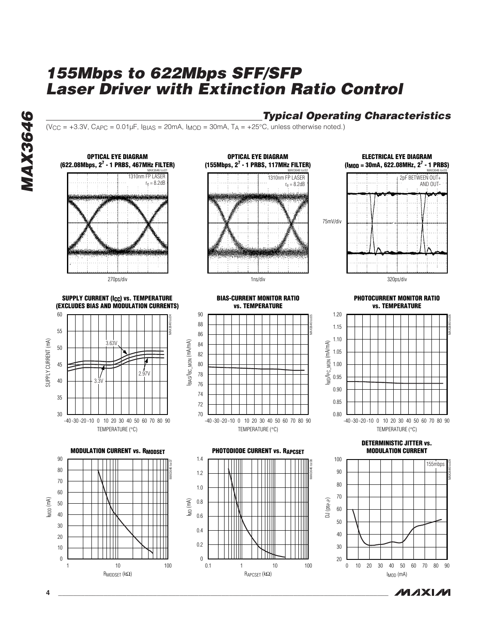## **Typical Operating Characteristics**

 $(V_{CC} = +3.3V, C_{APC} = 0.01\,\mu$ F, I<sub>BIAS</sub> = 20mA, I<sub>MOD</sub> = 30mA, T<sub>A</sub> =  $+25^{\circ}$ C, unless otherwise noted.)



**MAXM** 

**4 \_\_\_\_\_\_\_\_\_\_\_\_\_\_\_\_\_\_\_\_\_\_\_\_\_\_\_\_\_\_\_\_\_\_\_\_\_\_\_\_\_\_\_\_\_\_\_\_\_\_\_\_\_\_\_\_\_\_\_\_\_\_\_\_\_\_\_\_\_\_\_\_\_\_\_\_\_\_\_\_\_\_\_\_\_\_\_**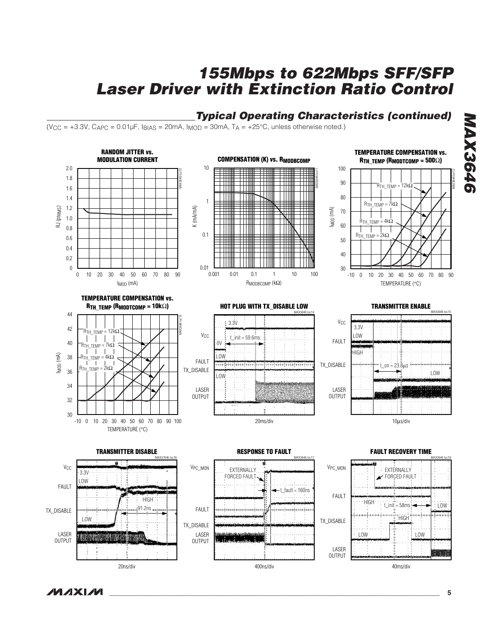## **Typical Operating Characteristics (continued)**

 $(V_{CC} = +3.3V, C_{APC} = 0.01 \mu F, I_{BIAS} = 20 mA, I_{MOD} = 30 mA, T_A = +25°C, unless otherwise noted.)$ 



400ns/div

**MAX3646 MAX3646** 

**MAXM** 

20ns/div

40ms/div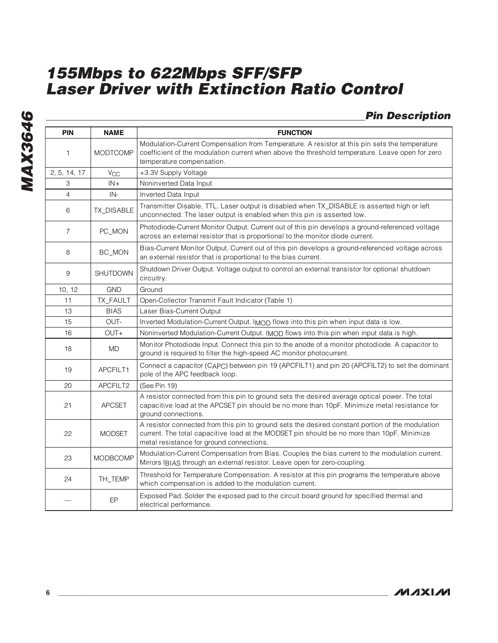## **Pin Description**

| <b>PIN</b>     | <b>NAME</b>     | <b>FUNCTION</b>                                                                                                                                                                                                                            |
|----------------|-----------------|--------------------------------------------------------------------------------------------------------------------------------------------------------------------------------------------------------------------------------------------|
| 1              | <b>MODTCOMP</b> | Modulation-Current Compensation from Temperature. A resistor at this pin sets the temperature<br>coefficient of the modulation current when above the threshold temperature. Leave open for zero<br>temperature compensation.              |
| 2, 5, 14, 17   | $V_{CC}$        | +3.3V Supply Voltage                                                                                                                                                                                                                       |
| 3              | $IN +$          | Noninverted Data Input                                                                                                                                                                                                                     |
| $\overline{4}$ | IN-             | Inverted Data Input                                                                                                                                                                                                                        |
| 6              | TX_DISABLE      | Transmitter Disable, TTL. Laser output is disabled when TX_DISABLE is asserted high or left<br>unconnected. The laser output is enabled when this pin is asserted low.                                                                     |
| $\overline{7}$ | PC_MON          | Photodiode-Current Monitor Output. Current out of this pin develops a ground-referenced voltage<br>across an external resistor that is proportional to the monitor diode current.                                                          |
| 8              | BC_MON          | Bias-Current Monitor Output. Current out of this pin develops a ground-referenced voltage across<br>an external resistor that is proportional to the bias current.                                                                         |
| 9              | <b>SHUTDOWN</b> | Shutdown Driver Output. Voltage output to control an external transistor for optional shutdown<br>circuitry.                                                                                                                               |
| 10, 12         | <b>GND</b>      | Ground                                                                                                                                                                                                                                     |
| 11             | TX_FAULT        | Open-Collector Transmit Fault Indicator (Table 1)                                                                                                                                                                                          |
| 13             | <b>BIAS</b>     | Laser Bias-Current Output                                                                                                                                                                                                                  |
| 15             | OUT-            | Inverted Modulation-Current Output. IMOD flows into this pin when input data is low.                                                                                                                                                       |
| 16             | $OUT+$          | Noninverted Modulation-Current Output. IMOD flows into this pin when input data is high.                                                                                                                                                   |
| 18             | <b>MD</b>       | Monitor Photodiode Input. Connect this pin to the anode of a monitor photodiode. A capacitor to<br>ground is required to filter the high-speed AC monitor photocurrent.                                                                    |
| 19             | APCFILT1        | Connect a capacitor (CAPC) between pin 19 (APCFILT1) and pin 20 (APCFILT2) to set the dominant<br>pole of the APC feedback loop.                                                                                                           |
| 20             | APCFILT2        | (See Pin 19)                                                                                                                                                                                                                               |
| 21             | <b>APCSET</b>   | A resistor connected from this pin to ground sets the desired average optical power. The total<br>capacitive load at the APCSET pin should be no more than 10pF. Minimize metal resistance for<br>ground connections.                      |
| 22             | <b>MODSET</b>   | A resistor connected from this pin to ground sets the desired constant portion of the modulation<br>current. The total capacitive load at the MODSET pin should be no more than 10pF. Minimize<br>metal resistance for ground connections. |
| 23             | <b>MODBCOMP</b> | Modulation-Current Compensation from Bias. Couples the bias current to the modulation current.<br>Mirrors IBIAS through an external resistor. Leave open for zero-coupling.                                                                |
| 24             | TH_TEMP         | Threshold for Temperature Compensation. A resistor at this pin programs the temperature above<br>which compensation is added to the modulation current.                                                                                    |
|                | EP              | Exposed Pad. Solder the exposed pad to the circuit board ground for specified thermal and<br>electrical performance.                                                                                                                       |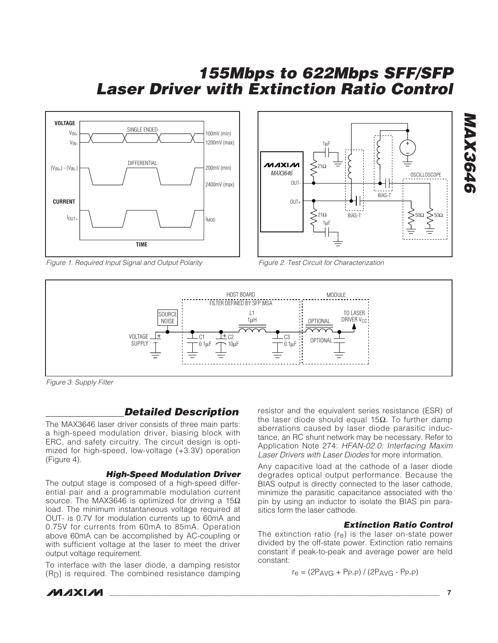



Figure 1. Required Input Signal and Output Polarity

Figure 2. Test Circuit for Characterization



Figure 3. Supply Filter

## **Detailed Description**

The MAX3646 laser driver consists of three main parts: a high-speed modulation driver, biasing block with ERC, and safety circuitry. The circuit design is optimized for high-speed, low-voltage (+3.3V) operation (Figure 4).

#### **High-Speed Modulation Driver**

The output stage is composed of a high-speed differential pair and a programmable modulation current source. The MAX3646 is optimized for driving a  $15Ω$ load. The minimum instantaneous voltage required at OUT- is 0.7V for modulation currents up to 60mA and 0.75V for currents from 60mA to 85mA. Operation above 60mA can be accomplished by AC-coupling or with sufficient voltage at the laser to meet the driver output voltage requirement.

To interface with the laser diode, a damping resistor  $(R<sub>D</sub>)$  is required. The combined resistance damping resistor and the equivalent series resistance (ESR) of the laser diode should equal 15Ω. To further damp aberrations caused by laser diode parasitic inductance, an RC shunt network may be necessary. Refer to Application Note 274: HFAN-02.0: Interfacing Maxim Laser Drivers with Laser Diodes for more information.

Any capacitive load at the cathode of a laser diode degrades optical output performance. Because the BIAS output is directly connected to the laser cathode, minimize the parasitic capacitance associated with the pin by using an inductor to isolate the BIAS pin parasitics form the laser cathode.

#### **Extinction Ratio Control**

The extinction ratio  $(r_e)$  is the laser on-state power divided by the off-state power. Extinction ratio remains constant if peak-to-peak and average power are held constant:

$$
r_e = (2PAVG + PP-P) / (2PAVG - PP-P)
$$

**MAXM** 

**\_\_\_\_\_\_\_\_\_\_\_\_\_\_\_\_\_\_\_\_\_\_\_\_\_\_\_\_\_\_\_\_\_\_\_\_\_\_\_\_\_\_\_\_\_\_\_\_\_\_\_\_\_\_\_\_\_\_\_\_\_\_\_\_\_\_\_\_\_\_\_\_\_\_\_\_\_\_\_\_\_\_\_\_\_\_\_ 7**

**MAX3646**

**MAX364**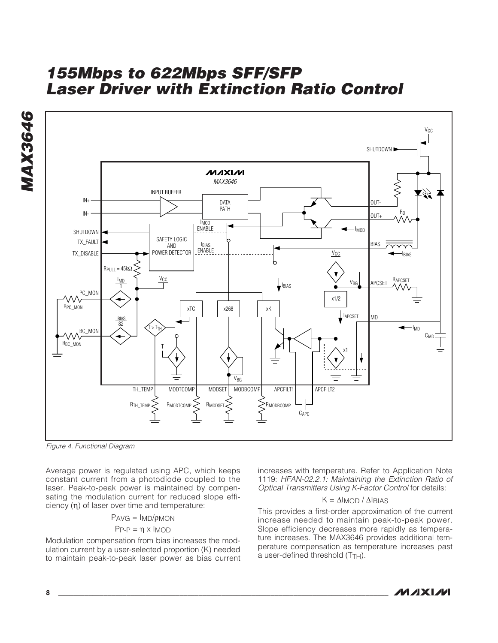



Figure 4. Functional Diagram

Average power is regulated using APC, which keeps constant current from a photodiode coupled to the laser. Peak-to-peak power is maintained by compensating the modulation current for reduced slope efficiency (η) of laser over time and temperature:

$$
PAVG = IMD/pMON
$$

$$
PP = \eta \times IMOD
$$

Modulation compensation from bias increases the modulation current by a user-selected proportion (K) needed to maintain peak-to-peak laser power as bias current increases with temperature. Refer to Application Note 1119: HFAN-02.2.1: Maintaining the Extinction Ratio of Optical Transmitters Using K-Factor Control for details:

#### $K = ΔI<sub>MOD</sub>/ΔI<sub>BIAS</sub>$

This provides a first-order approximation of the current increase needed to maintain peak-to-peak power. Slope efficiency decreases more rapidly as temperature increases. The MAX3646 provides additional temperature compensation as temperature increases past a user-defined threshold (T<sub>TH</sub>).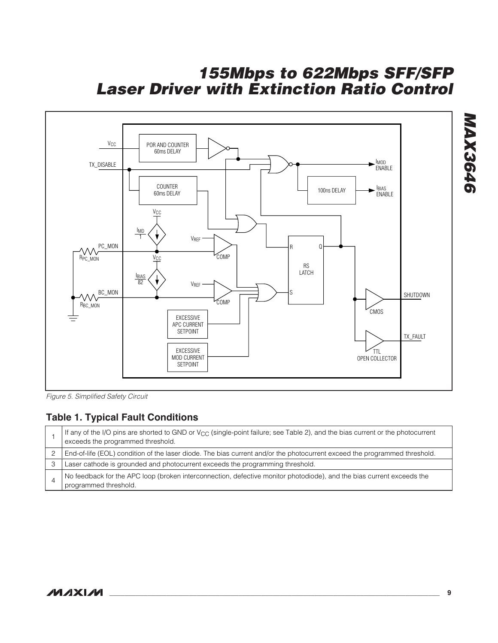

Figure 5. Simplified Safety Circuit

## **Table 1. Typical Fault Conditions**

| If any of the I/O pins are shorted to GND or V <sub>CC</sub> (single-point failure; see Table 2), and the bias current or the photocurrent<br>exceeds the programmed threshold. |
|---------------------------------------------------------------------------------------------------------------------------------------------------------------------------------|
| End-of-life (EOL) condition of the laser diode. The bias current and/or the photocurrent exceed the programmed threshold.                                                       |
| Laser cathode is grounded and photocurrent exceeds the programming threshold.                                                                                                   |
| No feedback for the APC loop (broken interconnection, defective monitor photodiode), and the bias current exceeds the<br>programmed threshold.                                  |

# **MAX3646 MAX3646**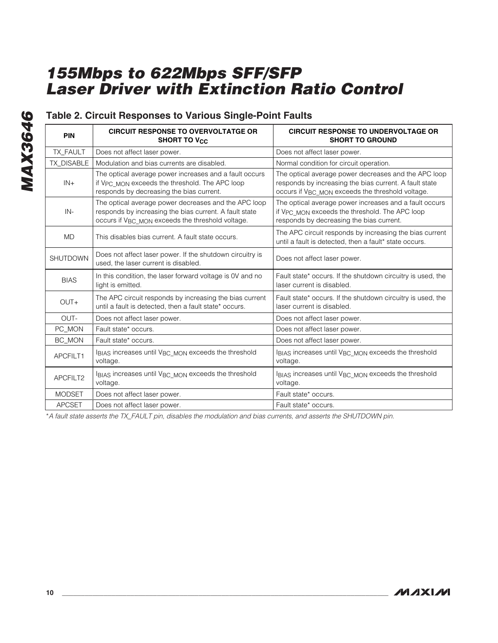## **Table 2. Circuit Responses to Various Single-Point Faults**

| <b>PIN</b>        | <b>CIRCUIT RESPONSE TO OVERVOLTATGE OR</b><br><b>SHORT TO V<sub>CC</sub></b>                                                                                                   | <b>CIRCUIT RESPONSE TO UNDERVOLTAGE OR</b><br><b>SHORT TO GROUND</b>                                                                                               |
|-------------------|--------------------------------------------------------------------------------------------------------------------------------------------------------------------------------|--------------------------------------------------------------------------------------------------------------------------------------------------------------------|
| TX_FAULT          | Does not affect laser power.                                                                                                                                                   | Does not affect laser power.                                                                                                                                       |
| <b>TX DISABLE</b> | Modulation and bias currents are disabled.                                                                                                                                     | Normal condition for circuit operation.                                                                                                                            |
| $IN +$            | The optical average power increases and a fault occurs<br>if V <sub>PC</sub> MON exceeds the threshold. The APC loop<br>responds by decreasing the bias current.               | The optical average power decreases and the APC loop<br>responds by increasing the bias current. A fault state<br>occurs if VBC MON exceeds the threshold voltage. |
| IN-               | The optical average power decreases and the APC loop<br>responds by increasing the bias current. A fault state<br>occurs if V <sub>BC_MON</sub> exceeds the threshold voltage. | The optical average power increases and a fault occurs<br>if V <sub>PC</sub> MON exceeds the threshold. The APC loop<br>responds by decreasing the bias current.   |
| <b>MD</b>         | This disables bias current. A fault state occurs.                                                                                                                              | The APC circuit responds by increasing the bias current<br>until a fault is detected, then a fault* state occurs.                                                  |
| <b>SHUTDOWN</b>   | Does not affect laser power. If the shutdown circuitry is<br>used, the laser current is disabled.                                                                              | Does not affect laser power.                                                                                                                                       |
| <b>BIAS</b>       | In this condition, the laser forward voltage is 0V and no<br>light is emitted.                                                                                                 | Fault state* occurs. If the shutdown circuitry is used, the<br>laser current is disabled.                                                                          |
| $OUT+$            | The APC circuit responds by increasing the bias current<br>until a fault is detected, then a fault state* occurs.                                                              | Fault state* occurs. If the shutdown circuitry is used, the<br>laser current is disabled.                                                                          |
| OUT-              | Does not affect laser power.                                                                                                                                                   | Does not affect laser power.                                                                                                                                       |
| PC_MON            | Fault state* occurs.                                                                                                                                                           | Does not affect laser power.                                                                                                                                       |
| BC_MON            | Fault state* occurs.                                                                                                                                                           | Does not affect laser power.                                                                                                                                       |
| APCFILT1          | IBIAS increases until VBC MON exceeds the threshold<br>voltage.                                                                                                                | IBIAS increases until VBC MON exceeds the threshold<br>voltage.                                                                                                    |
| APCFILT2          | IBIAS increases until VBC MON exceeds the threshold<br>voltage.                                                                                                                | IBIAS increases until VBC MON exceeds the threshold<br>voltage.                                                                                                    |
| <b>MODSET</b>     | Does not affect laser power.                                                                                                                                                   | Fault state* occurs.                                                                                                                                               |
| <b>APCSET</b>     | Does not affect laser power.                                                                                                                                                   | Fault state* occurs.                                                                                                                                               |

\*A fault state asserts the TX\_FAULT pin, disables the modulation and bias currents, and asserts the SHUTDOWN pin.

**MAX3646 MAX3646**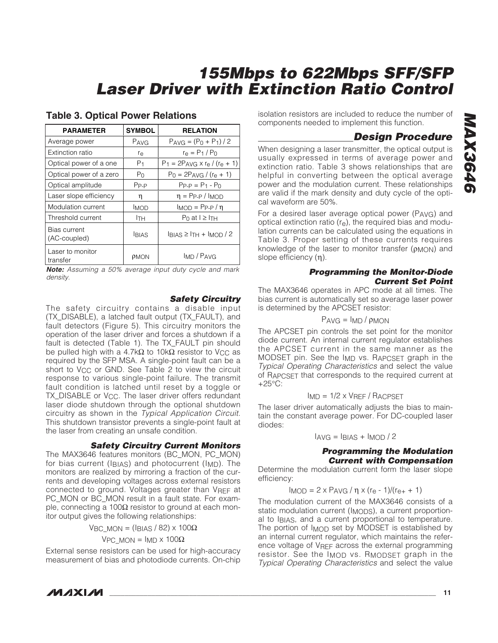| PARAMETER                           | <b>SYMBOL</b>  | <b>RELATION</b>                         |
|-------------------------------------|----------------|-----------------------------------------|
| Average power                       | PAVG           | $PAVG = (P_0 + P_1)/2$                  |
| Extinction ratio                    | re             | $r_{\rm e} = P_1 / P_0$                 |
| Optical power of a one              | P <sub>1</sub> | $P_1 = 2P_{AVG} \times r_e / (r_e + 1)$ |
| Optical power of a zero             | P <sub>0</sub> | $P_0 = 2P_{AVG} / (r_e + 1)$            |
| Optical amplitude                   | $P_{P-P}$      | $P_{P-P} = P_1 - P_0$                   |
| Laser slope efficiency              | η              | $\eta =$ Pp-p / $\mu$ <sub>MOD</sub>    |
| Modulation current                  | <b>IMOD</b>    | $I_{MOD} = P_{P-P}/\eta$                |
| Threshold current                   | lтн            | $P_0$ at $I \geq I$ <sub>TH</sub>       |
| <b>Bias current</b><br>(AC-coupled) | <b>BIAS</b>    | $I_{BIAS} \ge I_{TH} + I_{MOD}/2$       |
| Laser to monitor<br>transfer<br>.   | PMON           | IMD / PAVG                              |

#### **Table 3. Optical Power Relations**

**Note:** Assuming a 50% average input duty cycle and mark density.

#### **Safety Circuitry**

The safety circuitry contains a disable input (TX\_DISABLE), a latched fault output (TX\_FAULT), and fault detectors (Figure 5). This circuitry monitors the operation of the laser driver and forces a shutdown if a fault is detected (Table 1). The TX\_FAULT pin should be pulled high with a 4.7kΩ to 10kΩ resistor to V<sub>CC</sub> as required by the SFP MSA. A single-point fault can be a short to V<sub>CC</sub> or GND. See Table 2 to view the circuit response to various single-point failure. The transmit fault condition is latched until reset by a toggle or TX\_DISABLE or V<sub>CC</sub>. The laser driver offers redundant laser diode shutdown through the optional shutdown circuitry as shown in the Typical Application Circuit. This shutdown transistor prevents a single-point fault at the laser from creating an unsafe condition.

#### **Safety Circuitry Current Monitors**

The MAX3646 features monitors (BC\_MON, PC\_MON) for bias current (IBIAS) and photocurrent (IMD). The monitors are realized by mirroring a fraction of the currents and developing voltages across external resistors connected to ground. Voltages greater than VREF at PC\_MON or BC\_MON result in a fault state. For example, connecting a 100 $\Omega$  resistor to ground at each monitor output gives the following relationships:

VBC MON = (IBIAS / 82) x 100 $\Omega$ 

VPC MON =  $IMD \times 100\Omega$ 

External sense resistors can be used for high-accuracy measurement of bias and photodiode currents. On-chip isolation resistors are included to reduce the number of components needed to implement this function.

### **Design Procedure**

When designing a laser transmitter, the optical output is usually expressed in terms of average power and extinction ratio. Table 3 shows relationships that are helpful in converting between the optical average power and the modulation current. These relationships are valid if the mark density and duty cycle of the optical waveform are 50%.

For a desired laser average optical power (PAVG) and optical extinction ratio  $(r_e)$ , the required bias and modulation currents can be calculated using the equations in Table 3. Proper setting of these currents requires knowledge of the laser to monitor transfer  $(p_{MON})$  and slope efficiency (η).

#### **Programming the Monitor-Diode Current Set Point**

The MAX3646 operates in APC mode at all times. The bias current is automatically set so average laser power is determined by the APCSET resistor:

$$
PAVG = IMD / pMON
$$

The APCSET pin controls the set point for the monitor diode current. An internal current regulator establishes the APCSET current in the same manner as the MODSET pin. See the I<sub>MD</sub> vs. R<sub>APCSET</sub> graph in the Typical Operating Characteristics and select the value of RAPCSET that corresponds to the required current at +25°C:

$$
ImD = 1/2 \times VREF / RACPSET
$$

The laser driver automatically adjusts the bias to maintain the constant average power. For DC-coupled laser diodes:

$$
I_{\text{AVG}} = I_{\text{BIAS}} + I_{\text{MOD}} / 2
$$

#### **Programming the Modulation Current with Compensation**

Determine the modulation current form the laser slope efficiency:

$$
I_{MOD} = 2 \times P_{AVG} / η \times (r_e - 1)/(r_{e+} + 1)
$$

The modulation current of the MAX3646 consists of a static modulation current (I<sub>MODS</sub>), a current proportional to IBIAS, and a current proportional to temperature. The portion of I<sub>MOD</sub> set by MODSET is established by an internal current regulator, which maintains the reference voltage of VREF across the external programming resistor. See the I<sub>MOD</sub> vs. R<sub>MODSET</sub> graph in the Typical Operating Characteristics and select the value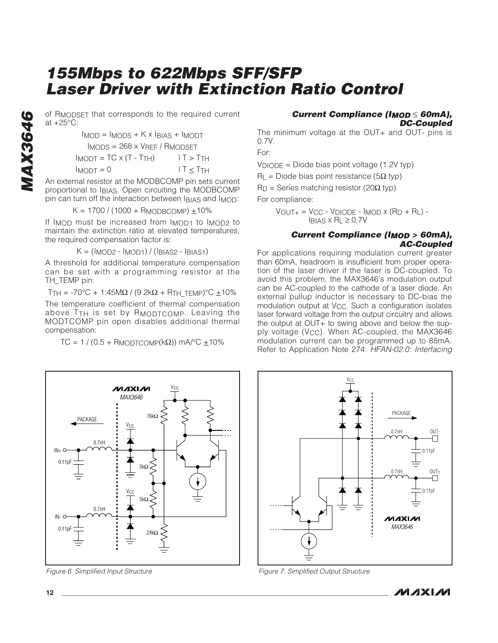at +25°C:

of RMODSET that corresponds to the required current<br>at +25°C:<br>IMOD = IMODS + K x IBIAS + IMODT<br>IMODS = 268 x VREF / RMODSET<br>IMODT = TC x (T - TTH) IT > TTH<br>IMODT = 0 IT  $\le$  TTH<br>An external resistor at the MODBCOMP pin set  $I_{MOD} = I_{MODS} + K \times I_{BIAS} + I_{MODT}$ IMODS = 268 x VREF / RMODSET  $I_{MODT} = TC \times (T - T_{TH})$   $I T > T_{TH}$  $Im_{ODT} = 0$   $1T \leq TTH$ 

An external resistor at the MODBCOMP pin sets current proportional to IBIAS. Open circuiting the MODBCOMP pin can turn off the interaction between IBIAS and IMOD:

$$
K = 1700 / (1000 + R \text{MODBCOMP}) \pm 10\%
$$

If I<sub>MOD</sub> must be increased from I<sub>MOD1</sub> to I<sub>MOD2</sub> to maintain the extinction ratio at elevated temperatures, the required compensation factor is:

 $K = (I_{MOD2} - I_{MOD1}) / (I_{BIAS2} - I_{BIAS1})$ 

A threshold for additional temperature compensation can be set with a programming resistor at the TH\_TEMP pin:

T<sub>TH</sub> = -70°C + 1.45MΩ / (9.2kΩ + R<sub>TH</sub> TEMP)°C  $\pm$ 10%

The temperature coefficient of thermal compensation above TTH is set by RMODTCOMP. Leaving the MODTCOMP pin open disables additional thermal compensation:

TC = 1 / (0.5 + RMODTCOMP( $k\Omega$ )) mA/°C  $\pm$ 10%



The minimum voltage at the OUT+ and OUT- pins is 0.7V.

For:

 $V_{\text{DIODE}}$  = Diode bias point voltage (1.2V typ)

 $R_{\text{L}}$  = Diode bias point resistance (5 $\Omega$  typ)

 $R_D$  = Series matching resistor (20 $\Omega$  typ)

For compliance:

 $V_{\text{OUT+}} = V_{\text{CC}} - V_{\text{DIODE}} - I_{\text{MOD}} \times (R_{\text{D}} + R_{\text{L}}) - I_{\text{DIODE}}$  $I_{BIAS} \times R_L \geq 0.7V$ 

#### **Current Compliance (IMOD > 60mA), AC-Coupled**

For applications requiring modulation current greater than 60mA, headroom is insufficient from proper operation of the laser driver if the laser is DC-coupled. To avoid this problem, the MAX3646's modulation output can be AC-coupled to the cathode of a laser diode. An external pullup inductor is necessary to DC-bias the modulation output at V<sub>CC</sub>. Such a configuration isolates laser forward voltage from the output circuitry and allows the output at OUT+ to swing above and below the supply voltage (VCC). When AC-coupled, the MAX3646 modulation current can be programmed up to 85mA. Refer to Application Note 274: HFAN-02.0: Interfacing



Figure 6. Simplified Input Structure



Figure 7. Simplified Output Structure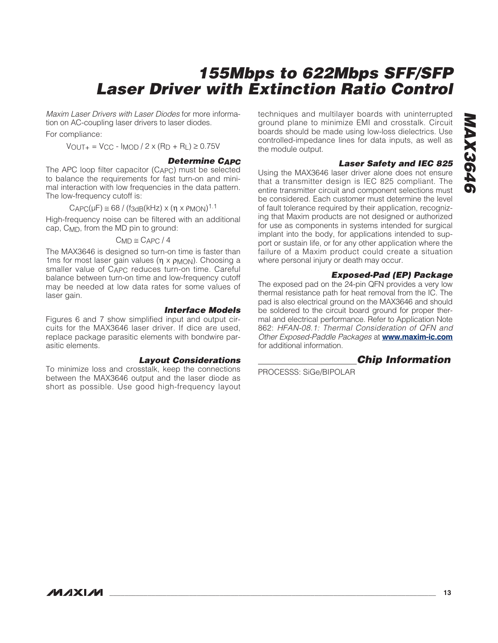Maxim Laser Drivers with Laser Diodes for more information on AC-coupling laser drivers to laser diodes.

For compliance:

 $V_{\text{OUT+}} = V_{\text{CC}} - I_{\text{MOD}} / 2 \times (R_{\text{D}} + R_{\text{L}}) \ge 0.75 V$ 

#### **Determine CAPC**

The APC loop filter capacitor (CAPC) must be selected to balance the requirements for fast turn-on and minimal interaction with low frequencies in the data pattern. The low-frequency cutoff is:

#### $CAPC(\mu) \cong 68 / (f_{3dB}(k) \times (n \times P_{MON})^{1.1})$

High-frequency noise can be filtered with an additional cap, CMD, from the MD pin to ground:

 $C_{MD} \cong C_{APC} / 4$ 

The MAX3646 is designed so turn-on time is faster than 1ms for most laser gain values (η x  $ρ$ MON). Choosing a smaller value of CAPC reduces turn-on time. Careful balance between turn-on time and low-frequency cutoff may be needed at low data rates for some values of laser gain.

#### **Interface Models**

Figures 6 and 7 show simplified input and output circuits for the MAX3646 laser driver. If dice are used, replace package parasitic elements with bondwire parasitic elements.

#### **Layout Considerations**

To minimize loss and crosstalk, keep the connections between the MAX3646 output and the laser diode as short as possible. Use good high-frequency layout techniques and multilayer boards with uninterrupted ground plane to minimize EMI and crosstalk. Circuit boards should be made using low-loss dielectrics. Use controlled-impedance lines for data inputs, as well as the module output.

#### **Laser Safety and IEC 825**

Using the MAX3646 laser driver alone does not ensure that a transmitter design is IEC 825 compliant. The entire transmitter circuit and component selections must be considered. Each customer must determine the level of fault tolerance required by their application, recognizing that Maxim products are not designed or authorized for use as components in systems intended for surgical implant into the body, for applications intended to support or sustain life, or for any other application where the failure of a Maxim product could create a situation where personal injury or death may occur.

#### **Exposed-Pad (EP) Package**

The exposed pad on the 24-pin QFN provides a very low thermal resistance path for heat removal from the IC. The pad is also electrical ground on the MAX3646 and should be soldered to the circuit board ground for proper thermal and electrical performance. Refer to Application Note 862: HFAN-08.1: Thermal Consideration of QFN and Other Exposed-Paddle Packages at **www.maxim-ic.com** for additional information.

#### **Chip Information**

PROCESSS: SiGe/BIPOLAR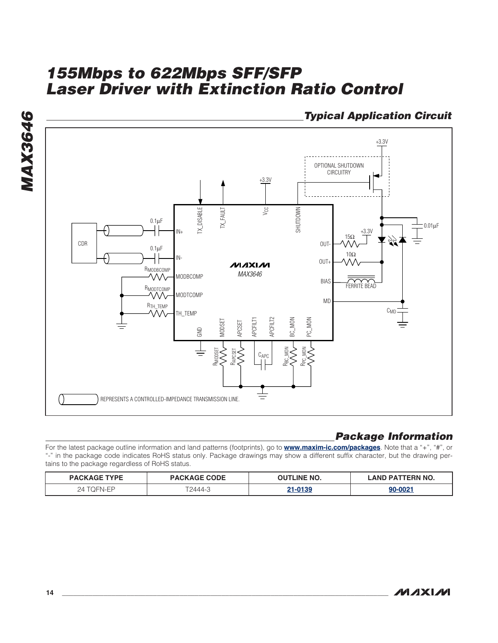

## **Package Information**

For the latest package outline information and land patterns (footprints), go to **www.maxim-ic.com/packages**. Note that a "+", "#", or "-" in the package code indicates RoHS status only. Package drawings may show a different suffix character, but the drawing pertains to the package regardless of RoHS status.

| <b>PACKAGE TYPE</b> | <b>PACKAGE CODE</b> | <b>TLINE NO.</b><br>ור | <b>FRN NO.</b><br>PΔ<br>ΔNΓ |
|---------------------|---------------------|------------------------|-----------------------------|
| 2Δ<br>→← ≀⊢NL⊢⊷     | T2444-3             | 0.126                  | 00-0021                     |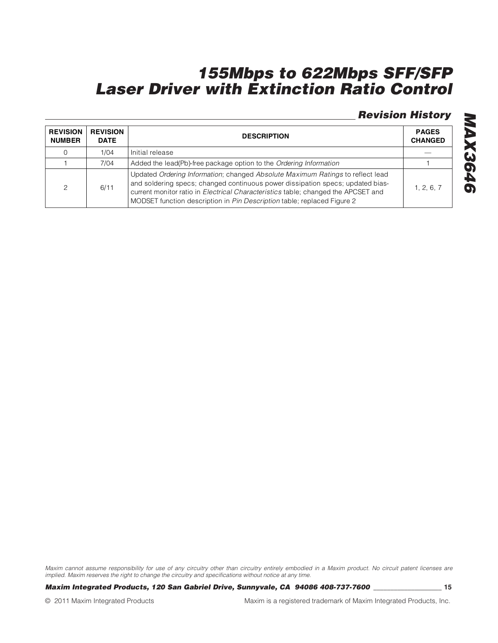## **Revision History**

| <b>REVISION</b><br><b>NUMBER</b> | <b>REVISION</b><br><b>DATE</b> | <b>DESCRIPTION</b>                                                                                                                                                                                                                                                                                                                      |            |
|----------------------------------|--------------------------------|-----------------------------------------------------------------------------------------------------------------------------------------------------------------------------------------------------------------------------------------------------------------------------------------------------------------------------------------|------------|
|                                  | 1/04                           | Initial release                                                                                                                                                                                                                                                                                                                         |            |
|                                  | 7/04                           | Added the lead(Pb)-free package option to the Ordering Information                                                                                                                                                                                                                                                                      |            |
| $\mathcal{P}$                    | 6/11                           | Updated Ordering Information; changed Absolute Maximum Ratings to reflect lead<br>and soldering specs; changed continuous power dissipation specs; updated bias-<br>current monitor ratio in <i>Electrical Characteristics</i> table; changed the APCSET and<br>MODSET function description in Pin Description table; replaced Figure 2 | 1, 2, 6, 7 |

Maxim cannot assume responsibility for use of any circuitry other than circuitry entirely embodied in a Maxim product. No circuit patent licenses are implied. Maxim reserves the right to change the circuitry and specifications without notice at any time.

**Maxim Integrated Products, 120 San Gabriel Drive, Sunnyvale, CA 94086 408-737-7600 \_\_\_\_\_\_\_\_\_\_\_\_\_\_\_\_\_\_\_\_ 15**